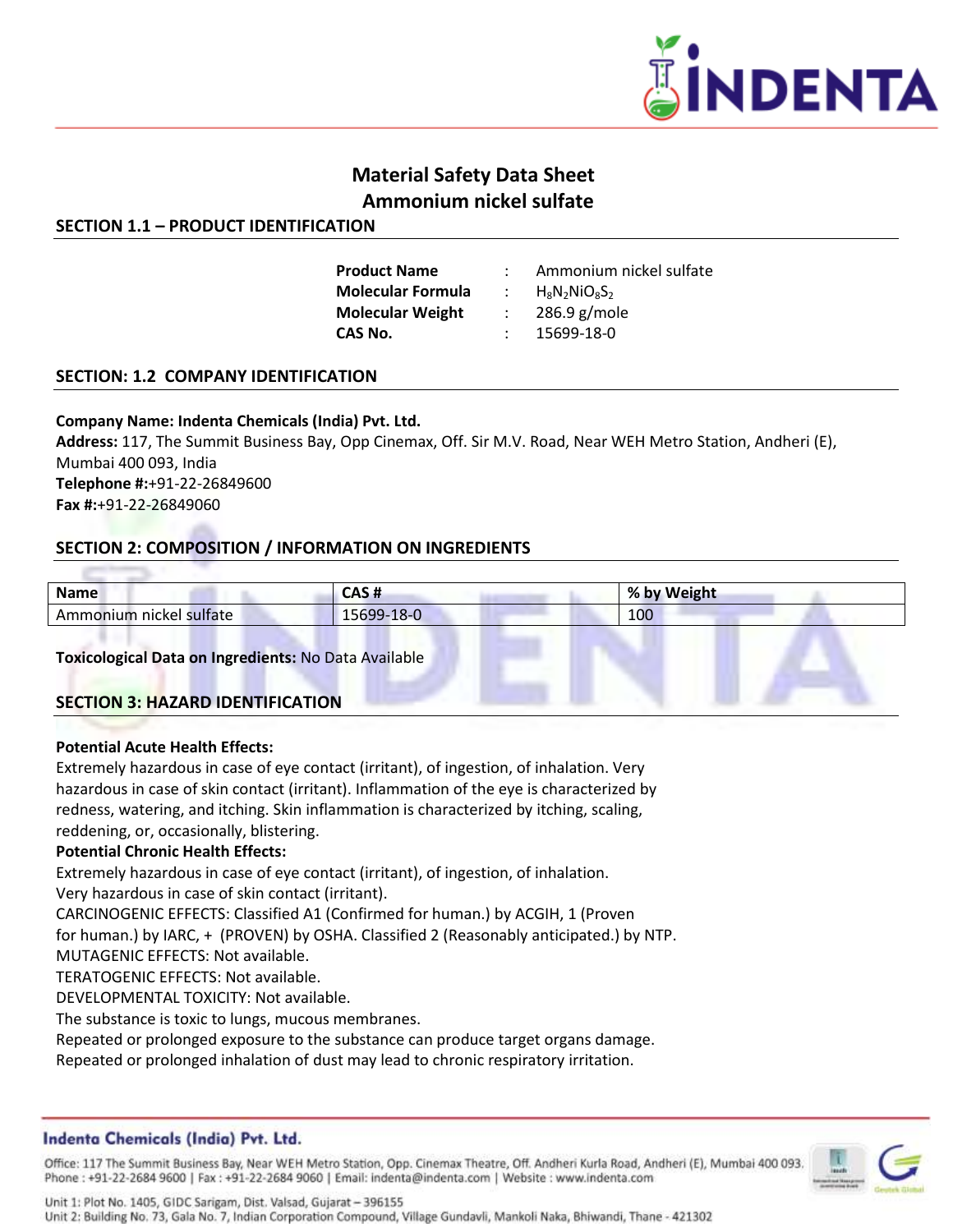

# **Material Safety Data Sheet Ammonium nickel sulfate**

# **SECTION 1.1 – PRODUCT IDENTIFICATION**

| <b>Product Name</b>      | Ammonium nickel sulfate |
|--------------------------|-------------------------|
| <b>Molecular Formula</b> | $H_8N_2NiO_8S_2$        |
| <b>Molecular Weight</b>  | $286.9$ g/mole          |
| CAS No.                  | 15699-18-0              |

## **SECTION: 1.2 COMPANY IDENTIFICATION**

#### **Company Name: Indenta Chemicals (India) Pvt. Ltd.**

**Address:** 117, The Summit Business Bay, Opp Cinemax, Off. Sir M.V. Road, Near WEH Metro Station, Andheri (E), Mumbai 400 093, India **Telephone #:**+91-22-26849600 **Fax #:**+91-22-26849060

# **SECTION 2: COMPOSITION / INFORMATION ON INGREDIENTS**

| <b>Name</b>             | CAS#       | % by Weight |  |
|-------------------------|------------|-------------|--|
| Ammonium nickel sulfate | 15699-18-0 | 100         |  |
|                         |            |             |  |

**Toxicological Data on Ingredients:** No Data Available

## **SECTION 3: HAZARD IDENTIFICATION**

#### **Potential Acute Health Effects:**

Extremely hazardous in case of eye contact (irritant), of ingestion, of inhalation. Very hazardous in case of skin contact (irritant). Inflammation of the eye is characterized by redness, watering, and itching. Skin inflammation is characterized by itching, scaling, reddening, or, occasionally, blistering.

#### **Potential Chronic Health Effects:**

Extremely hazardous in case of eye contact (irritant), of ingestion, of inhalation.

Very hazardous in case of skin contact (irritant).

CARCINOGENIC EFFECTS: Classified A1 (Confirmed for human.) by ACGIH, 1 (Proven

for human.) by IARC, + (PROVEN) by OSHA. Classified 2 (Reasonably anticipated.) by NTP.

MUTAGENIC EFFECTS: Not available.

TERATOGENIC EFFECTS: Not available.

DEVELOPMENTAL TOXICITY: Not available.

The substance is toxic to lungs, mucous membranes.

Repeated or prolonged exposure to the substance can produce target organs damage.

Repeated or prolonged inhalation of dust may lead to chronic respiratory irritation.

## Indenta Chemicals (India) Pvt. Ltd.

Office: 117 The Summit Business Bay, Near WEH Metro Station, Opp. Cinemax Theatre, Off. Andheri Kurla Road, Andheri (E), Mumbai 400 093. Phone: +91-22-2684 9600 | Fax: +91-22-2684 9060 | Email: indenta@indenta.com | Website: www.indenta.com

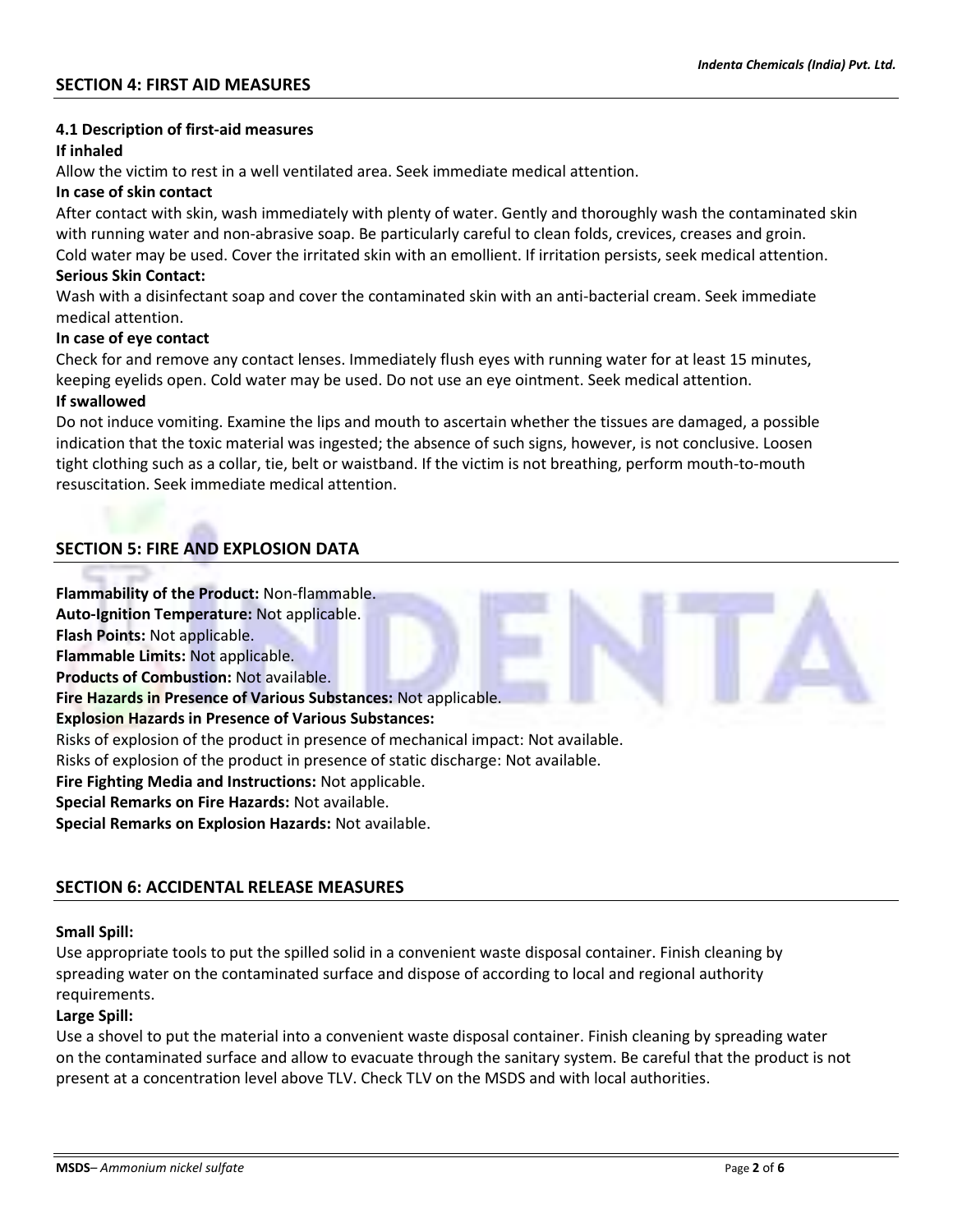## **4.1 Description of first-aid measures**

#### **If inhaled**

Allow the victim to rest in a well ventilated area. Seek immediate medical attention.

#### **In case of skin contact**

After contact with skin, wash immediately with plenty of water. Gently and thoroughly wash the contaminated skin with running water and non-abrasive soap. Be particularly careful to clean folds, crevices, creases and groin. Cold water may be used. Cover the irritated skin with an emollient. If irritation persists, seek medical attention.

#### **Serious Skin Contact:**

Wash with a disinfectant soap and cover the contaminated skin with an anti-bacterial cream. Seek immediate medical attention.

#### **In case of eye contact**

Check for and remove any contact lenses. Immediately flush eyes with running water for at least 15 minutes, keeping eyelids open. Cold water may be used. Do not use an eye ointment. Seek medical attention.

#### **If swallowed**

Do not induce vomiting. Examine the lips and mouth to ascertain whether the tissues are damaged, a possible indication that the toxic material was ingested; the absence of such signs, however, is not conclusive. Loosen tight clothing such as a collar, tie, belt or waistband. If the victim is not breathing, perform mouth-to-mouth resuscitation. Seek immediate medical attention.

# **SECTION 5: FIRE AND EXPLOSION DATA**

**Flammability of the Product:** Non-flammable. **Auto-Ignition Temperature:** Not applicable. **Flash Points:** Not applicable. **Flammable Limits:** Not applicable. **Products of Combustion:** Not available. **Fire Hazards in Presence of Various Substances:** Not applicable. **Explosion Hazards in Presence of Various Substances:** Risks of explosion of the product in presence of mechanical impact: Not available. Risks of explosion of the product in presence of static discharge: Not available. **Fire Fighting Media and Instructions:** Not applicable. **Special Remarks on Fire Hazards:** Not available. **Special Remarks on Explosion Hazards:** Not available.

## **SECTION 6: ACCIDENTAL RELEASE MEASURES**

## **Small Spill:**

Use appropriate tools to put the spilled solid in a convenient waste disposal container. Finish cleaning by spreading water on the contaminated surface and dispose of according to local and regional authority requirements.

## **Large Spill:**

Use a shovel to put the material into a convenient waste disposal container. Finish cleaning by spreading water on the contaminated surface and allow to evacuate through the sanitary system. Be careful that the product is not present at a concentration level above TLV. Check TLV on the MSDS and with local authorities.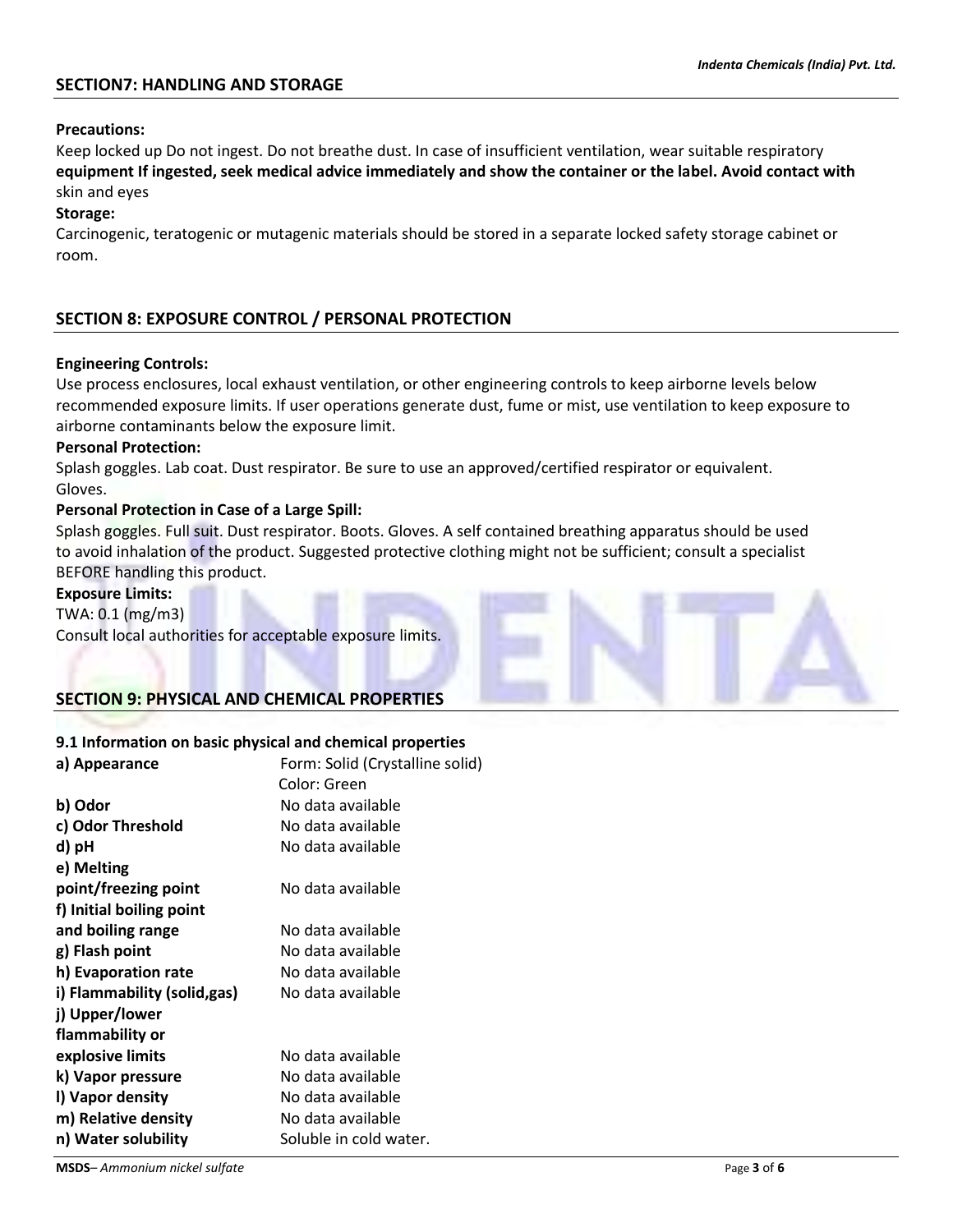# **SECTION7: HANDLING AND STORAGE**

#### **Precautions:**

Keep locked up Do not ingest. Do not breathe dust. In case of insufficient ventilation, wear suitable respiratory **equipment If ingested, seek medical advice immediately and show the container or the label. Avoid contact with** skin and eyes

#### **Storage:**

Carcinogenic, teratogenic or mutagenic materials should be stored in a separate locked safety storage cabinet or room.

# **SECTION 8: EXPOSURE CONTROL / PERSONAL PROTECTION**

#### **Engineering Controls:**

Use process enclosures, local exhaust ventilation, or other engineering controls to keep airborne levels below recommended exposure limits. If user operations generate dust, fume or mist, use ventilation to keep exposure to airborne contaminants below the exposure limit.

#### **Personal Protection:**

Splash goggles. Lab coat. Dust respirator. Be sure to use an approved/certified respirator or equivalent. Gloves.

#### **Personal Protection in Case of a Large Spill:**

Splash goggles. Full suit. Dust respirator. Boots. Gloves. A self contained breathing apparatus should be used to avoid inhalation of the product. Suggested protective clothing might not be sufficient; consult a specialist BEFORE handling this product.

#### **Exposure Limits:**

TWA: 0.1 (mg/m3) Consult local authorities for acceptable exposure limits.

## **SECTION 9: PHYSICAL AND CHEMICAL PROPERTIES**

#### **9.1 Information on basic physical and chemical properties**

| a) Appearance                | Form: Solid (Crystalline solid) |  |
|------------------------------|---------------------------------|--|
|                              | Color: Green                    |  |
| b) Odor                      | No data available               |  |
| c) Odor Threshold            | No data available               |  |
| d) pH                        | No data available               |  |
| e) Melting                   |                                 |  |
| point/freezing point         | No data available               |  |
| f) Initial boiling point     |                                 |  |
| and boiling range            | No data available               |  |
| g) Flash point               | No data available               |  |
| h) Evaporation rate          | No data available               |  |
| i) Flammability (solid, gas) | No data available               |  |
| j) Upper/lower               |                                 |  |
| flammability or              |                                 |  |
| explosive limits             | No data available               |  |
| k) Vapor pressure            | No data available               |  |
| I) Vapor density             | No data available               |  |
| m) Relative density          | No data available               |  |
| n) Water solubility          | Soluble in cold water.          |  |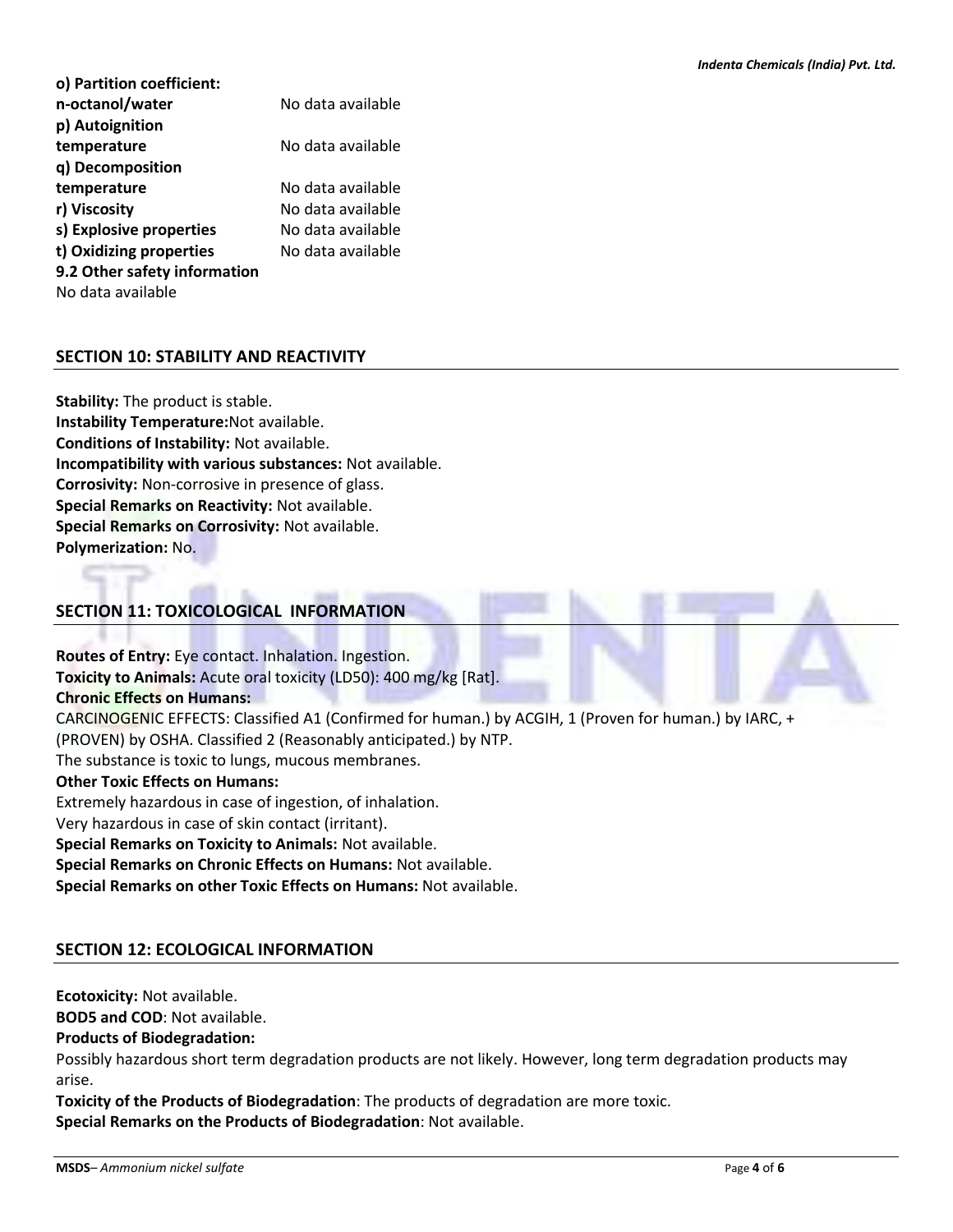| o) Partition coefficient:    |                   |
|------------------------------|-------------------|
| n-octanol/water              | No data available |
| p) Autoignition              |                   |
| temperature                  | No data available |
| q) Decomposition             |                   |
| temperature                  | No data available |
| r) Viscosity                 | No data available |
| s) Explosive properties      | No data available |
| t) Oxidizing properties      | No data available |
| 9.2 Other safety information |                   |
| No data available            |                   |

# **SECTION 10: STABILITY AND REACTIVITY**

**Stability:** The product is stable. **Instability Temperature:**Not available. **Conditions of Instability:** Not available. **Incompatibility with various substances:** Not available. **Corrosivity:** Non-corrosive in presence of glass. **Special Remarks on Reactivity:** Not available. **Special Remarks on Corrosivity:** Not available. **Polymerization:** No.

# **SECTION 11: TOXICOLOGICAL INFORMATION**

**Routes of Entry:** Eye contact. Inhalation. Ingestion. **Toxicity to Animals:** Acute oral toxicity (LD50): 400 mg/kg [Rat]. **Chronic Effects on Humans:** CARCINOGENIC EFFECTS: Classified A1 (Confirmed for human.) by ACGIH, 1 (Proven for human.) by IARC, + (PROVEN) by OSHA. Classified 2 (Reasonably anticipated.) by NTP. The substance is toxic to lungs, mucous membranes. **Other Toxic Effects on Humans:** Extremely hazardous in case of ingestion, of inhalation. Very hazardous in case of skin contact (irritant). **Special Remarks on Toxicity to Animals:** Not available. **Special Remarks on Chronic Effects on Humans:** Not available. **Special Remarks on other Toxic Effects on Humans:** Not available.

# **SECTION 12: ECOLOGICAL INFORMATION**

**Ecotoxicity:** Not available.

**BOD5 and COD**: Not available.

#### **Products of Biodegradation:**

Possibly hazardous short term degradation products are not likely. However, long term degradation products may arise.

**Toxicity of the Products of Biodegradation**: The products of degradation are more toxic. **Special Remarks on the Products of Biodegradation**: Not available.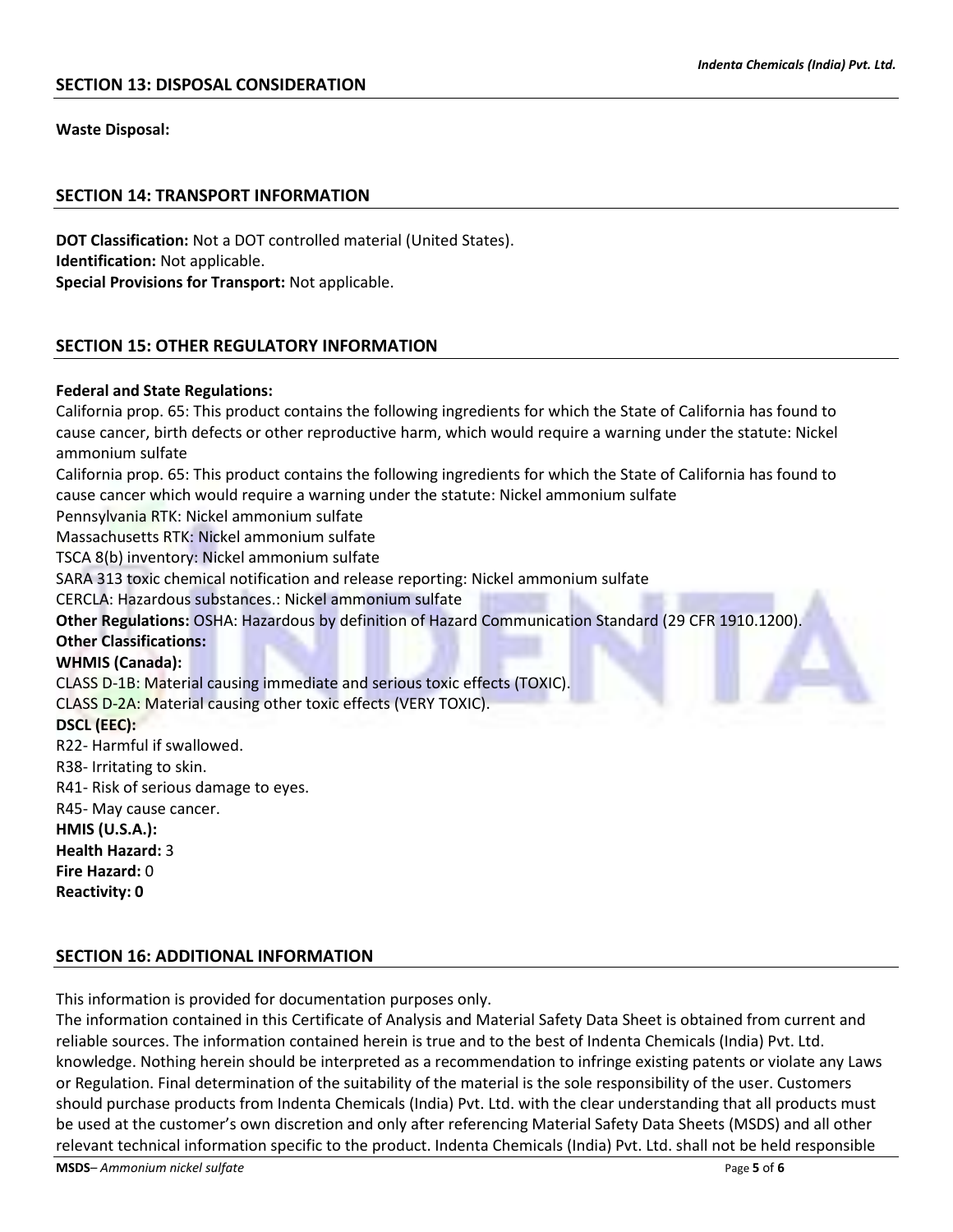**Waste Disposal:**

## **SECTION 14: TRANSPORT INFORMATION**

**DOT Classification:** Not a DOT controlled material (United States). **Identification:** Not applicable. **Special Provisions for Transport:** Not applicable.

# **SECTION 15: OTHER REGULATORY INFORMATION**

#### **Federal and State Regulations:**

California prop. 65: This product contains the following ingredients for which the State of California has found to cause cancer, birth defects or other reproductive harm, which would require a warning under the statute: Nickel ammonium sulfate California prop. 65: This product contains the following ingredients for which the State of California has found to cause cancer which would require a warning under the statute: Nickel ammonium sulfate Pennsylvania RTK: Nickel ammonium sulfate Massachusetts RTK: Nickel ammonium sulfate TSCA 8(b) inventory: Nickel ammonium sulfate SARA 313 toxic chemical notification and release reporting: Nickel ammonium sulfate CERCLA: Hazardous substances.: Nickel ammonium sulfate **Other Regulations:** OSHA: Hazardous by definition of Hazard Communication Standard (29 CFR 1910.1200). **Other Classifications: WHMIS (Canada):** CLASS D-1B: Material causing immediate and serious toxic effects (TOXIC). CLASS D-2A: Material causing other toxic effects (VERY TOXIC). **DSCL (EEC):** R22- Harmful if swallowed. R38- Irritating to skin. R41- Risk of serious damage to eyes. R45- May cause cancer. **HMIS (U.S.A.): Health Hazard:** 3 **Fire Hazard:** 0 **Reactivity: 0**

## **SECTION 16: ADDITIONAL INFORMATION**

This information is provided for documentation purposes only.

The information contained in this Certificate of Analysis and Material Safety Data Sheet is obtained from current and reliable sources. The information contained herein is true and to the best of Indenta Chemicals (India) Pvt. Ltd. knowledge. Nothing herein should be interpreted as a recommendation to infringe existing patents or violate any Laws or Regulation. Final determination of the suitability of the material is the sole responsibility of the user. Customers should purchase products from Indenta Chemicals (India) Pvt. Ltd. with the clear understanding that all products must be used at the customer's own discretion and only after referencing Material Safety Data Sheets (MSDS) and all other relevant technical information specific to the product. Indenta Chemicals (India) Pvt. Ltd. shall not be held responsible